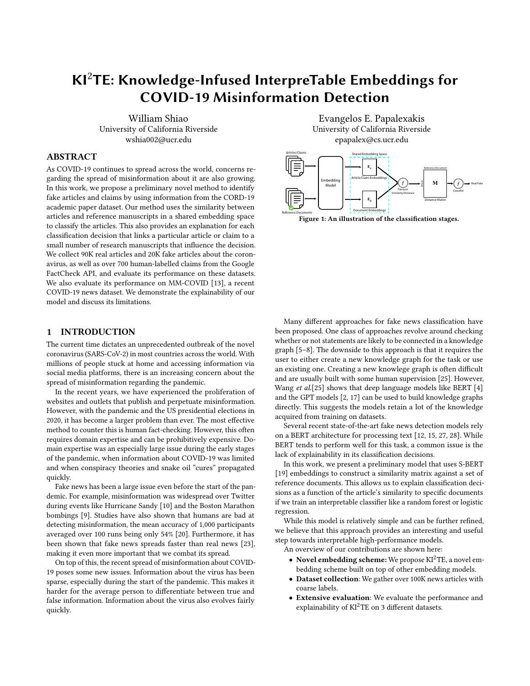# KI2TE: Knowledge-Infused InterpreTable Embeddings for COVID-19 Misinformation Detection

William Shiao University of California Riverside wshia002@ucr.edu

## ABSTRACT

As COVID-19 continues to spread across the world, concerns regarding the spread of misinformation about it are also growing. In this work, we propose a preliminary novel method to identify fake articles and claims by using information from the CORD-19 academic paper dataset. Our method uses the similarity between articles and reference manuscripts in a shared embedding space to classify the articles. This also provides an explanation for each classification decision that links a particular article or claim to a small number of research manuscripts that influence the decision. We collect 90K real articles and 20K fake articles about the coronavirus, as well as over 700 human-labelled claims from the Google FactCheck API, and evaluate its performance on these datasets. We also evaluate its performance on MM-COVID [\[13\]](#page-4-0), a recent COVID-19 news dataset. We demonstrate the explainability of our model and discuss its limitations.

## 1 INTRODUCTION

The current time dictates an unprecedented outbreak of the novel coronavirus (SARS-CoV-2) in most countries across the world. With millions of people stuck at home and accessing information via social media platforms, there is an increasing concern about the spread of misinformation regarding the pandemic.

In the recent years, we have experienced the proliferation of websites and outlets that publish and perpetuate misinformation. However, with the pandemic and the US presidential elections in 2020, it has become a larger problem than ever. The most effective method to counter this is human fact-checking. However, this often requires domain expertise and can be prohibitively expensive. Domain expertise was an especially large issue during the early stages of the pandemic, when information about COVID-19 was limited and when conspiracy theories and snake oil "cures" propagated quickly.

Fake news has been a large issue even before the start of the pandemic. For example, misinformation was widespread over Twitter during events like Hurricane Sandy [\[10\]](#page-4-1) and the Boston Marathon bombings [\[9\]](#page-4-2). Studies have also shown that humans are bad at detecting misinformation, the mean accuracy of 1,000 participants averaged over 100 runs being only 54% [\[20\]](#page-4-3). Furthermore, it has been shown that fake news spreads faster than real news [\[23\]](#page-4-4), making it even more important that we combat its spread.

On top of this, the recent spread of misinformation about COVID-19 poses some new issues. Information about the virus has been sparse, especially during the start of the pandemic. This makes it harder for the average person to differentiate between true and false information. Information about the virus also evolves fairly quickly.

Evangelos E. Papalexakis University of California Riverside epapalex@cs.ucr.edu



Figure 1: An illustration of the classification stages.

Many different approaches for fake news classification have been proposed. One class of approaches revolve around checking whether or not statements are likely to be connected in a knowledge graph [\[5](#page-4-5)[–8\]](#page-4-6). The downside to this approach is that it requires the user to either create a new knowledge graph for the task or use an existing one. Creating a new knowlege graph is often difficult and are usually built with some human supervision [\[25\]](#page-5-0). However, Wang et al.[\[25\]](#page-5-0) shows that deep language models like BERT [\[4\]](#page-4-7) and the GPT models [\[2,](#page-4-8) [17\]](#page-4-9) can be used to build knowledge graphs directly. This suggests the models retain a lot of the knowledge acquired from training on datasets.

Several recent state-of-the-art fake news detection models rely on a BERT architecture for processing text [\[12,](#page-4-10) [15,](#page-4-11) [27,](#page-5-1) [28\]](#page-5-2). While BERT tends to perform well for this task, a common issue is the lack of explainability in its classification decisions.

In this work, we present a preliminary model that uses S-BERT [\[19\]](#page-4-12) embeddings to construct a similarity matrix against a set of reference documents. This allows us to explain classification decisions as a function of the article's similarity to specific documents if we train an interpretable classifier like a random forest or logistic regression.

While this model is relatively simple and can be further refined, we believe that this approach provides an interesting and useful step towards interpretable high-performance models.

An overview of our contributions are shown here:

- Novel embedding scheme: We propose  $KI^2TE$ , a novel embedding scheme built on top of other embedding models.
- Dataset collection: We gather over 100K news articles with coarse labels.
- Extensive evaluation: We evaluate the performance and explainability of  $KI^2TE$  on 3 different datasets.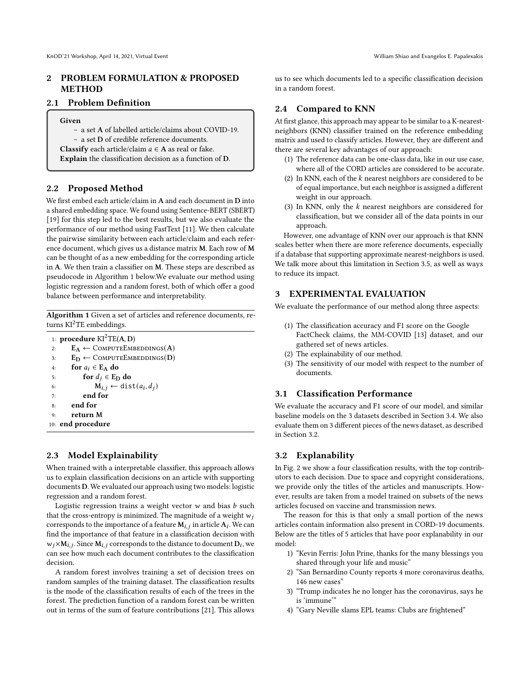## 2 PROBLEM FORMULATION & PROPOSED METHOD

## 2.1 Problem Definition

#### Given

– a set A of labelled article/claims about COVID-19.

– a set D of credible reference documents.

**Classify** each article/claim  $a \in A$  as real or fake.

Explain the classification decision as a function of D.

#### 2.2 Proposed Method

We first embed each article/claim in A and each document in D into a shared embedding space. We found using Sentence-BERT (SBERT) [\[19\]](#page-4-12) for this step led to the best results, but we also evaluate the performance of our method using FastText [\[11\]](#page-4-13). We then calculate the pairwise similarity between each article/claim and each reference document, which gives us a distance matrix M. Each row of M can be thought of as a new embedding for the corresponding article in A. We then train a classifier on M. These steps are described as pseudocode in Algorithm [1](#page-1-0) below.We evaluate our method using logistic regression and a random forest, both of which offer a good balance between performance and interpretability.

<span id="page-1-0"></span>Algorithm 1 Given a set of articles and reference documents, returns  $KI^2TE$  embeddings.

1: procedure  $KI^2TE(A, D)$ 2:  $E_A \leftarrow$  COMPUTEEMBEDDINGS(A) 3:  $E_D \leftarrow$  COMPUTEEMBEDDINGS(D) 4: for  $a_i \in E_A$  do 5: for  $d_j \in E_D$  do 6:  $\mathbf{M}_{i,j} \leftarrow \text{dist}(a_i, d_j)$ 7: end for 8: end for 9: return M 10: end procedure

## 2.3 Model Explainability

When trained with a interpretable classifier, this approach allows us to explain classification decisions on an article with supporting documents D. We evaluated our approach using two models: logistic regression and a random forest.

Logistic regression trains a weight vector  $w$  and bias  $b$  such that the cross-entropy is minimized. The magnitude of a weight  $w_i$ corresponds to the importance of a feature  $\overline{M}_{i,j}$  in article  $A_i$ . We can find the importance of that feature in a classification decision with  $w_j \times M_{i,j}$ . Since  $M_{i,j}$  corresponds to the distance to document  $D_i$ , we can see how much each document contributes to the classification decision.

A random forest involves training a set of decision trees on random samples of the training dataset. The classification results is the mode of the classification results of each of the trees in the forest. The prediction function of a random forest can be written out in terms of the sum of feature contributions [\[21\]](#page-4-14). This allows

us to see which documents led to a specific classification decision in a random forest.

## 2.4 Compared to KNN

At first glance, this approach may appear to be similar to a K-nearestneighbors (KNN) classifier trained on the reference embedding matrix and used to classify articles. However, they are different and there are several key advantages of our approach:

- (1) The reference data can be one-class data, like in our use case, where all of the CORD articles are considered to be accurate.
- (2) In KNN, each of the  $k$  nearest neighbors are considered to be of equal importance, but each neighbor is assigned a different weight in our approach.
- (3) In KNN, only the  $k$  nearest neighbors are considered for classification, but we consider all of the data points in our approach.

However, one advantage of KNN over our approach is that KNN scales better when there are more reference documents, especially if a database that supporting approximate nearest-neighbors is used. We talk more about this limitation in Section [3.5,](#page-3-0) as well as ways to reduce its impact.

## 3 EXPERIMENTAL EVALUATION

We evaluate the performance of our method along three aspects:

- (1) The classification accuracy and F1 score on the Google FactCheck claims, the MM-COVID [\[13\]](#page-4-0) dataset, and our gathered set of news articles.
- (2) The explainability of our method.
- (3) The sensitivity of our model with respect to the number of documents.

## 3.1 Classification Performance

We evaluate the accuracy and F1 score of our model, and similar baseline models on the 3 datasets described in Section [3.4.](#page-2-0) We also evaluate them on 3 different pieces of the news dataset, as described in Section [3.2.](#page-1-1)

#### <span id="page-1-1"></span>3.2 Explanability

In Fig. [2](#page-2-1) we show a four classification results, with the top contributors to each decision. Due to space and copyright considerations, we provide only the titles of the articles and manuscripts. However, results are taken from a model trained on subsets of the news articles focused on vaccine and transmission news.

The reason for this is that only a small portion of the news articles contain information also present in CORD-19 documents. Below are the titles of 5 articles that have poor explanability in our model:

- 1) "Kevin Ferris: John Prine, thanks for the many blessings you shared through your life and music"
- 2) "San Bernardino County reports 4 more coronavirus deaths, 146 new cases"
- 3) "Trump indicates he no longer has the coronavirus, says he is 'immune'"
- 4) "Gary Neville slams EPL teams: Clubs are frightened"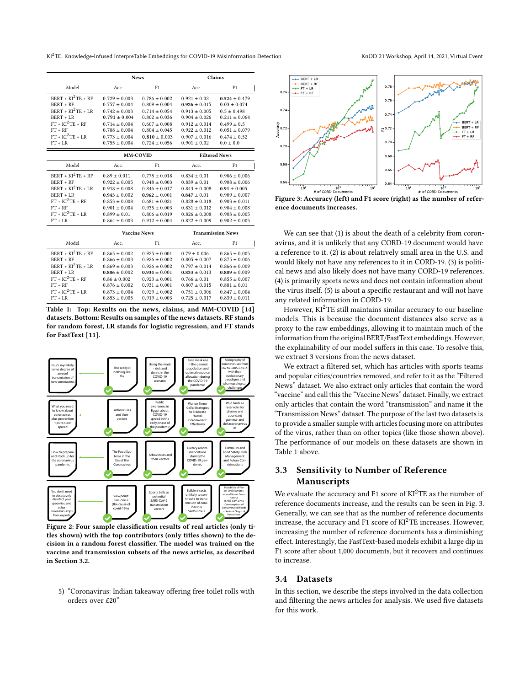KI<sup>2</sup>TE: Knowledge-Infused InterpreTable Embeddings for COVID-19 Misinformation Detection KnOD'21 Workshop, April 14, 2021, Virtual Event

<span id="page-2-2"></span>

|                     | <b>News</b>         |                   | Claims                   |                   |
|---------------------|---------------------|-------------------|--------------------------|-------------------|
| Model               | Acc.                | F1                | Acc.                     | F1                |
| $BERT + KI2TE + RF$ | $0.729 + 0.003$     | $0.786 + 0.002$   | $0.921 + 0.02$           | $0.524 \pm 0.479$ |
| <b>BERT + RF</b>    | $0.757 \pm 0.004$   | $0.809 \pm 0.004$ | $0.926 \pm 0.015$        | $0.03 \pm 0.074$  |
| $BERT + KI2TE + LR$ | $0.742 \pm 0.003$   | $0.714 \pm 0.054$ | $0.913 \pm 0.005$        | $0.5 \pm 0.498$   |
| $BERT + LR$         | $0.791 \pm 0.004$   | $0.802 \pm 0.036$ | $0.904 \pm 0.026$        | $0.211 \pm 0.064$ |
| $FT + KI^2TE + RF$  | $0.714 \pm 0.004$   | $0.607 \pm 0.008$ | $0.912 \pm 0.014$        | $0.499 \pm 0.5$   |
| $FT + RF$           | $0.788 \pm 0.004$   | $0.804 \pm 0.045$ | $0.922 \pm 0.012$        | $0.051 \pm 0.079$ |
| $FT + KI^2TE + LR$  | $0.773 \pm 0.004$   | $0.810 \pm 0.003$ | $0.907 \pm 0.016$        | $0.474 \pm 0.52$  |
| $FT + LR$           | $0.755 \pm 0.004$   | $0.724 \pm 0.056$ | $0.901 \pm 0.02$         | $0.0 \pm 0.0$     |
|                     | <b>MM-COVID</b>     |                   | <b>Filtered News</b>     |                   |
| Model               | Acc.                | F1                | Acc.                     | F1                |
| $BERT + KI2TE + RF$ | $0.89 \pm 0.011$    | $0.778 \pm 0.018$ | $0.834 \pm 0.01$         | $0.906 \pm 0.006$ |
| <b>BERT + RF</b>    | $0.922 \pm 0.005$   | $0.948 \pm 0.003$ | $0.839 \pm 0.01$         | $0.908 \pm 0.006$ |
| $BERT + KI2TE + LR$ | $0.918 \pm 0.008$   | $0.846 \pm 0.017$ | $0.843 \pm 0.008$        | $0.91 \pm 0.005$  |
| BERT + LR           | $0.943 \pm 0.002$   | $0.962 \pm 0.001$ | $0.847 \pm 0.01$         | $0.909 \pm 0.007$ |
| $FT + KT^2 TE + RF$ | $0.853 \pm 0.008$   | $0.681 \pm 0.021$ | $0.828 \pm 0.018$        | $0.903 \pm 0.011$ |
| $FT + RF$           | $0.901 \pm 0.004$   | $0.935 \pm 0.003$ | $0.831 \pm 0.012$        | $0.904 \pm 0.008$ |
| $FT + KI^2TE + LR$  | $0.899 \pm 0.01$    | $0.806 \pm 0.019$ | $0.826 \pm 0.008$        | $0.903 \pm 0.005$ |
| $FT + LR$           | $0.864 \pm 0.003$   | $0.912 \pm 0.004$ | $0.822 \pm 0.009$        | $0.902 \pm 0.005$ |
|                     | <b>Vaccine News</b> |                   | <b>Transmission News</b> |                   |
| Model               | Acc.                | F1                | Acc.                     | F1                |
| $BERT + KI2TE + RF$ | $0.865 \pm 0.002$   | $0.925 \pm 0.001$ | $0.79 \pm 0.006$         | $0.865 \pm 0.005$ |
| $BERT + RF$         | $0.866 \pm 0.003$   | $0.926 \pm 0.002$ | $0.805 \pm 0.007$        | $0.875 \pm 0.006$ |
| $BERT + KI2TE + LR$ | $0.869 \pm 0.003$   | $0.926 \pm 0.002$ | $0.797 \pm 0.014$        | $0.866 \pm 0.009$ |
| BERT + LR           | $0.886 \pm 0.002$   | $0.934 \pm 0.001$ | $0.833 \pm 0.013$        | $0.889 \pm 0.009$ |
| $FT + KI^2TE + RF$  | $0.86 \pm 0.002$    | $0.923 \pm 0.001$ | $0.766 \pm 0.01$         | $0.855 \pm 0.007$ |
| $FT + RF$           | $0.876 \pm 0.002$   | $0.931 \pm 0.001$ | $0.807 \pm 0.015$        | $0.881 \pm 0.01$  |
| $FT + KT^2 TE + LR$ | $0.873 + 0.004$     | $0.929 + 0.002$   | $0.751 + 0.006$          | $0.847 + 0.004$   |
| $FT + LR$           | $0.853 \pm 0.005$   | $0.919 \pm 0.003$ | $0.725 \pm 0.017$        | $0.839 \pm 0.011$ |

Table 1: Top: Results on the news, claims, and MM-COVID [\[14\]](#page-4-15) datasets. Bottom: Results on samples of the news datasets. RF stands for random forest, LR stands for logistic regression, and FT stands for FastText [\[11\]](#page-4-13).

<span id="page-2-1"></span>

Figure 2: Four sample classification results of real articles (only titles shown) with the top contributors (only titles shown) to the decision in a random forest classifier. The model was trained on the vaccine and transmission subsets of the news articles, as described in Section [3.2.](#page-1-1)

5) "Coronavirus: Indian takeaway offering free toilet rolls with orders over £20"

<span id="page-2-3"></span>

Figure 3: Accuracy (left) and F1 score (right) as the number of reference documents increases.

We can see that (1) is about the death of a celebrity from coronavirus, and it is unlikely that any CORD-19 document would have a reference to it. (2) is about relatively small area in the U.S. and would likely not have any references to it in CORD-19. (3) is political news and also likely does not have many CORD-19 references. (4) is primarily sports news and does not contain information about the virus itself. (5) is about a specific restaurant and will not have any related information in CORD-19.

However,  $KI^2TE$  still maintains similar accuracy to our baseline models. This is because the document distances also serve as a proxy to the raw embeddings, allowing it to maintain much of the information from the original BERT/FastText embeddings. However, the explainability of our model suffers in this case. To resolve this, we extract 3 versions from the news dataset.

We extract a filtered set, which has articles with sports teams and popular cities/countries removed, and refer to it as the "Filtered News" dataset. We also extract only articles that contain the word "vaccine" and call this the "Vaccine News" dataset. Finally, we extract only articles that contain the word "transmission" and name it the "Transmission News" dataset. The purpose of the last two datasets is to provide a smaller sample with articles focusing more on attributes of the virus, rather than on other topics (like those shown above). The performance of our models on these datasets are shown in Table [1](#page-2-2) above.

## 3.3 Sensitivity to Number of Reference Manuscripts

We evaluate the accuracy and F1 score of  $KI^2TE$  as the number of reference documents increase, and the results can be seen in Fig. [3.](#page-2-3) Generally, we can see that as the number of reference documents increase, the accuracy and F1 score of  $KI^2TE$  increases. However, increasing the number of reference documents has a diminishing effect. Interestingly, the FastText-based models exhibit a large dip in F1 score after about 1,000 documents, but it recovers and continues to increase.

#### <span id="page-2-0"></span>3.4 Datasets

In this section, we describe the steps involved in the data collection and filtering the news articles for analysis. We used five datasets for this work.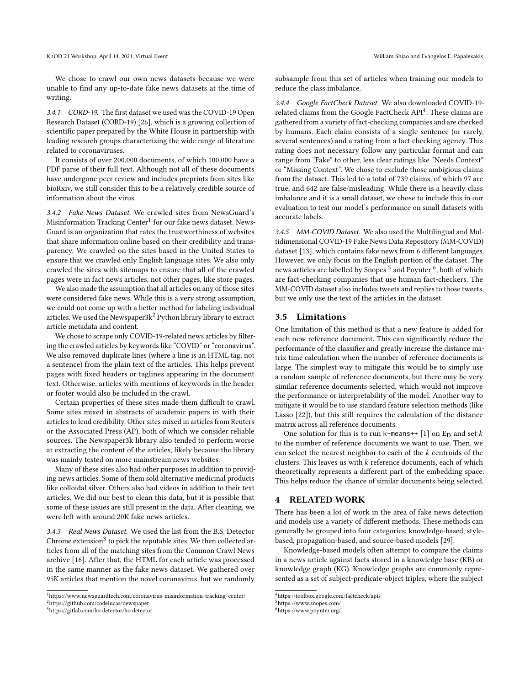We chose to crawl our own news datasets because we were unable to find any up-to-date fake news datasets at the time of writing.

3.4.1 CORD-19. The first dataset we used was the COVID-19 Open Research Dataset (CORD-19) [\[26\]](#page-5-3), which is a growing collection of scientific paper prepared by the White House in partnership with leading research groups characterizing the wide range of literature related to coronaviruses.

It consists of over 200,000 documents, of which 100,000 have a PDF parse of their full text. Although not all of these documents have undergone peer review and includes preprints from sites like bioRxiv, we still consider this to be a relatively credible source of information about the virus.

3.4.2 Fake News Dataset. We crawled sites from NewsGuard's Misinformation Tracking Center $^1$  $^1$  for our fake news dataset. News-Guard is an organization that rates the trustworthiness of websites that share information online based on their credibility and transparency. We crawled on the sites based in the United States to ensure that we crawled only English language sites. We also only crawled the sites with sitemaps to ensure that all of the crawled pages were in fact news articles, not other pages, like store pages.

We also made the assumption that all articles on any of those sites were considered fake news. While this is a very strong assumption, we could not come up with a better method for labeling individual articles. We used the Newspaper3 $k^2$  $k^2$  Python library library to extract article metadata and content.

We chose to scrape only COVID-19-related news articles by filtering the crawled articles by keywords like "COVID" or "coronavirus". We also removed duplicate lines (where a line is an HTML tag, not a sentence) from the plain text of the articles. This helps prevent pages with fixed headers or taglines appearing in the document text. Otherwise, articles with mentions of keywords in the header or footer would also be included in the crawl.

Certain properties of these sites made them difficult to crawl. Some sites mixed in abstracts of academic papers in with their articles to lend credibility. Other sites mixed in articles from Reuters or the Associated Press (AP), both of which we consider reliable sources. The Newspaper3k library also tended to perform worse at extracting the content of the articles, likely because the library was mainly tested on more mainstream news websites.

Many of these sites also had other purposes in addition to providing news articles. Some of them sold alternative medicinal products like colloidal silver. Others also had videos in addition to their text articles. We did our best to clean this data, but it is possible that some of these issues are still present in the data. After cleaning, we were left with around 20K fake news articles.

3.4.3 Real News Dataset. We used the list from the B.S. Detector Chrome extension<sup>[3](#page-3-3)</sup> to pick the reputable sites. We then collected articles from all of the matching sites from the Common Crawl News archive [\[16\]](#page-4-16). After that, the HTML for each article was processed in the same manner as the fake news dataset. We gathered over 95K articles that mention the novel coronavirus, but we randomly subsample from this set of articles when training our models to

3.4.4 Google FactCheck Dataset. We also downloaded COVID-19-

related claims from the Google FactCheck API[4](#page-3-4) . These claims are gathered from a variety of fact-checking companies and are checked by humans. Each claim consists of a single sentence (or rarely, several sentences) and a rating from a fact checking agency. This rating does not necessary follow any particular format and can range from "Fake" to other, less clear ratings like "Needs Context" or "Missing Context". We chose to exclude those ambigious claims from the dataset. This led to a total of 739 claims, of which 97 are true, and 642 are false/misleading. While there is a heavily class imbalance and it is a small dataset, we chose to include this in our evaluation to test our model's performance on small datasets with accurate labels.

3.4.5 MM-COVID Dataset. We also used the Multilingual and Multidimensional COVID-19 Fake News Data Repository (MM-COVID) dataset [\[13\]](#page-4-0), which contains fake news from 6 different languages. However, we only focus on the English portion of the dataset. The news articles are labelled by Snopes<sup>[5](#page-3-5)</sup> and Poynter <sup>[6](#page-3-6)</sup>, both of which are fact-checking companies that use human fact-checkers. The MM-COVID dataset also includes tweets and replies to those tweets, but we only use the text of the articles in the dataset.

#### <span id="page-3-0"></span>3.5 Limitations

reduce the class imbalance.

One limitation of this method is that a new feature is added for each new reference document. This can significantly reduce the performance of the classifier and greatly increase the distance matrix time calculation when the number of reference documents is large. The simplest way to mitigate this would be to simply use a random sample of reference documents, but there may be very similar reference documents selected, which would not improve the performance or interpretability of the model. Another way to mitigate it would be to use standard feature selection methods (like Lasso [\[22\]](#page-4-17)), but this still requires the calculation of the distance matrix across all reference documents.

One solution for this is to run k-means++ [\[1\]](#page-4-18) on  $E_D$  and set  $k$ to the number of reference documents we want to use. Then, we can select the nearest neighbor to each of the  $k$  centroids of the clusters. This leaves us with  $k$  reference documents, each of which theoretically represents a different part of the embedding space. This helps reduce the chance of similar documents being selected.

## 4 RELATED WORK

There has been a lot of work in the area of fake news detection and models use a variety of different methods. These methods can generally be grouped into four categories: knowledge-based, stylebased, propagation-based, and source-based models [\[29\]](#page-5-4).

Knowledge-based models often attempt to compare the claims in a news article against facts stored in a knowledge base (KB) or knowledge graph (KG). Knowledge graphs are commonly represented as a set of subject-predicate-object triples, where the subject

<span id="page-3-2"></span><span id="page-3-1"></span><sup>1</sup><https://www.newsguardtech.com/coronavirus-misinformation-tracking-center/> <sup>2</sup><https://github.com/codelucas/newspaper>

<span id="page-3-3"></span><sup>3</sup><https://gitlab.com/bs-detector/bs-detector>

<span id="page-3-4"></span><sup>4</sup><https://toolbox.google.com/factcheck/apis>

<span id="page-3-5"></span><sup>5</sup><https://www.snopes.com/>

<span id="page-3-6"></span><sup>6</sup><https://www.poynter.org/>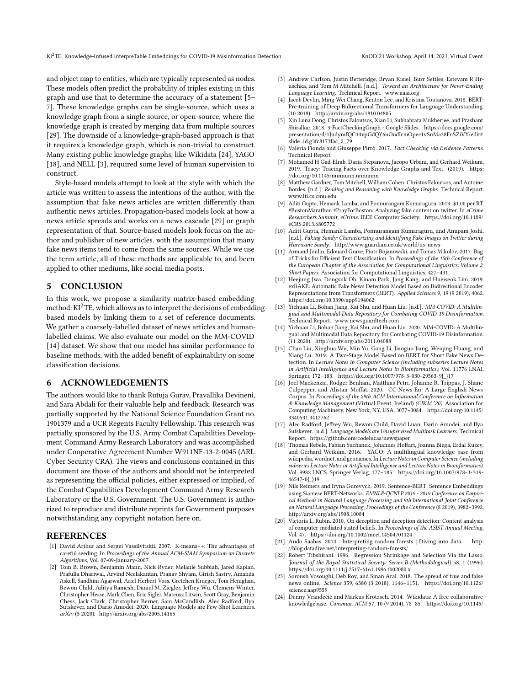and object map to entities, which are typically represented as nodes. These models often predict the probability of triples existing in this graph and use that to determine the accuracy of a statement [\[5–](#page-4-5) [7\]](#page-4-19). These knowledge graphs can be single-source, which uses a knowledge graph from a single source, or open-source, where the knowledge graph is created by merging data from multiple sources [\[29\]](#page-5-4). The downside of a knowledge-graph-based approach is that it requires a knowledge graph, which is non-trivial to construct. Many existing public knowledge graphs, like Wikidata [\[24\]](#page-4-20), YAGO [\[18\]](#page-4-21), and NELL [\[3\]](#page-4-22), required some level of human supervision to construct.

Style-based models attempt to look at the style with which the article was written to assess the intentions of the author, with the assumption that fake news articles are written differently than authentic news articles. Propagation-based models look at how a news article spreads and works on a news cascade [\[29\]](#page-5-4) or graph representation of that. Source-based models look focus on the author and publisher of new articles, with the assumption that many fake news items tend to come from the same sources. While we use the term article, all of these methods are applicable to, and been applied to other mediums, like social media posts.

## 5 CONCLUSION

In this work, we propose a similarity matrix-based embedding method:  $KI^2TE$ , which allows us to interpret the decisions of embeddingbased models by linking them to a set of reference documents. We gather a coarsely-labelled dataset of news articles and humanlabelled claims. We also evaluate our model on the MM-COVID [\[14\]](#page-4-15) dataset. We show that our model has similar performance to baseline methods, with the added benefit of explainability on some classification decisions.

## 6 ACKNOWLEDGEMENTS

The authors would like to thank Rutuja Gurav, Pravallika Devineni, and Sara Abdali for their valuable help and feedback. Research was partially supported by the National Science Foundation Grant no. 1901379 and a UCR Regents Faculty Fellowship. This research was partially sponsored by the U.S. Army Combat Capabilities Development Command Army Research Laboratory and was accomplished under Cooperative Agreement Number W911NF-13-2-0045 (ARL Cyber Security CRA). The views and conclusions contained in this document are those of the authors and should not be interpreted as representing the official policies, either expressed or implied, of the Combat Capabilities Development Command Army Research Laboratory or the U.S. Government. The U.S. Government is authorized to reproduce and distribute reprints for Government purposes notwithstanding any copyright notation here on.

#### **REFERENCES**

- <span id="page-4-18"></span>[1] David Arthur and Sergei Vassilvitskii. 2007. K-means++: The advantages of careful seeding. In Proceedings of the Annual ACM-SIAM Symposium on Discrete Algorithms, Vol. 07-09-January-2007.
- <span id="page-4-8"></span>[2] Tom B. Brown, Benjamin Mann, Nick Ryder, Melanie Subbiah, Jared Kaplan, Prafulla Dhariwal, Arvind Neelakantan, Pranav Shyam, Girish Sastry, Amanda Askell, Sandhini Agarwal, Ariel Herbert-Voss, Gretchen Krueger, Tom Henighan, Rewon Child, Aditya Ramesh, Daniel M. Ziegler, Jeffrey Wu, Clemens Winter, Christopher Hesse, Mark Chen, Eric Sigler, Mateusz Litwin, Scott Gray, Benjamin Chess, Jack Clark, Christopher Berner, Sam McCandlish, Alec Radford, Ilya Sutskever, and Dario Amodei. 2020. Language Models are Few-Shot Learners. [arXiv](https://doi.org/10.1145/2629489) (5 2020).<http://arxiv.org/abs/2005.14165>
- <span id="page-4-22"></span>[3] Andrew Carlson, Justin Betteridge, Bryan Kisiel, Burr Settles, Estevam R Hruschka, and Tom M Mitchell. [n.d.]. Toward an Architecture for Never-Ending Language Learning. Technical Report.<www.aaai.org>
- <span id="page-4-7"></span>Jacob Devlin, Ming-Wei Chang, Kenton Lee, and Kristina Toutanova. 2018. BERT: Pre-training of Deep Bidirectional Transformers for Language Understanding. (10 2018).<http://arxiv.org/abs/1810.04805>
- <span id="page-4-5"></span>[5] Xin Luna Dong, Christos Faloutsos, Xian Li, Subhabrata Mukherjee, and Prashant Shiralkar. 2018. 3-FactCheckingGraph - Google Slides. [https://docs.google.com/](https://docs.google.com/presentation/d/1JudymfQC14vpGdQY6nOodIcmOpec1vSnMa38FnSZiVY/edit#slide=id.g3fc8173fac_2_79) [presentation/d/1JudymfQC14vpGdQY6nOodIcmOpec1vSnMa38FnSZiVY/edit#](https://docs.google.com/presentation/d/1JudymfQC14vpGdQY6nOodIcmOpec1vSnMa38FnSZiVY/edit#slide=id.g3fc8173fac_2_79) [slide=id.g3fc8173fac\\_2\\_79](https://docs.google.com/presentation/d/1JudymfQC14vpGdQY6nOodIcmOpec1vSnMa38FnSZiVY/edit#slide=id.g3fc8173fac_2_79)
- [6] Valeria Fionda and Giuseppe Pirrò. 2017. Fact Checking via Evidence Patterns. Technical Report.
- <span id="page-4-19"></span>[7] Mohamed H Gad-Elrab, Daria Stepanova, Jacopo Urbani, and Gerhard Weikum. 2019. Tracy: Tracing Facts over Knowledge Graphs and Text. (2019). [https:](https://doi.org/10.1145/nnnnnnn.nnnnnnn) [//doi.org/10.1145/nnnnnnn.nnnnnnn](https://doi.org/10.1145/nnnnnnn.nnnnnnn)
- <span id="page-4-6"></span>Matthew Gardner, Tom Mitchell, William Cohen, Christos Faloutsos, and Antoine Bordes. [n.d.]. Reading and Reasoning with Knowledge Graphs. Technical Report. <www.lti.cs.cmu.edu>
- <span id="page-4-2"></span>[9] Aditi Gupta, Hemank Lamba, and Ponnurangam Kumaraguru. 2013. \$1.00 per RT #BostonMarathon #PrayForBoston: Analyzing fake content on twitter. In eCrime Researchers Summit, eCrime. IEEE Computer Society. [https://doi.org/10.1109/](https://doi.org/10.1109/eCRS.2013.6805772) [eCRS.2013.6805772](https://doi.org/10.1109/eCRS.2013.6805772)
- <span id="page-4-1"></span>[10] Aditi Gupta, Hemank Lamba, Ponnurangam Kumaraguru, and Anupam Joshi. [n.d.]. Faking Sandy: Characterizing and Identifying Fake Images on Twitter during Hurricane Sandy.<http://www.guardian.co.uk/world/us-news->
- <span id="page-4-13"></span>[11] Armand Joulin, Edouard Grave, Piotr Bojanowski, and Tomas Mikolov. 2017. Bag of Tricks for Efficient Text Classification. In Proceedings of the 15th Conference of the European Chapter of the Association for Computational Linguistics: Volume 2, Short Papers. Association for Computational Linguistics, 427–431.
- <span id="page-4-10"></span>[12] Heejung Jwa, Dongsuk Oh, Kinam Park, Jang Kang, and Hueiseok Lim. 2019. exBAKE: Automatic Fake News Detection Model Based on Bidirectional Encoder Representations from Transformers (BERT). Applied Sciences 9, 19 (9 2019), 4062. <https://doi.org/10.3390/app9194062>
- <span id="page-4-0"></span>[13] Yichuan Li, Bohan Jiang, Kai Shu, and Huan Liu. [n.d.]. MM-COVID: A Multilingual and Multimodal Data Repository for Combating COVID-19 Disinformation. Technical Report.<www.newsguardtech.com>
- <span id="page-4-15"></span>[14] Yichuan Li, Bohan Jiang, Kai Shu, and Huan Liu. 2020. MM-COVID: A Multilingual and Multimodal Data Repository for Combating COVID-19 Disinformation. (11 2020).<http://arxiv.org/abs/2011.04088>
- <span id="page-4-11"></span>[15] Chao Liu, Xinghua Wu, Min Yu, Gang Li, Jianguo Jiang, Weiqing Huang, and Xiang Lu. 2019. A Two-Stage Model Based on BERT for Short Fake News Detection. In Lecture Notes in Computer Science (including subseries Lecture Notes in Artificial Intelligence and Lecture Notes in Bioinformatics), Vol. 11776 LNAI. Springer, 172–183. [https://doi.org/10.1007/978-3-030-29563-9{\\_}17](https://doi.org/10.1007/978-3-030-29563-9{_}17)
- <span id="page-4-16"></span>[16] Joel Mackenzie, Rodger Benham, Matthias Petri, Johanne R. Trippas, J. Shane Culpepper, and Alistair Moffat. 2020. CC-News-En: A Large English News Corpus. In Proceedings of the 29th ACM International Conference on Information & Knowledge Management (Virtual Event, Ireland) (CIKM '20). Association for Computing Machinery, New York, NY, USA, 3077–3084. [https://doi.org/10.1145/](https://doi.org/10.1145/3340531.3412762) [3340531.3412762](https://doi.org/10.1145/3340531.3412762)
- <span id="page-4-9"></span>[17] Alec Radford, Jeffrey Wu, Rewon Child, David Luan, Dario Amodei, and Ilya Sutskever. [n.d.]. Language Models are Unsupervised Multitask Learners. Technical Report.<https://github.com/codelucas/newspaper>
- <span id="page-4-21"></span>[18] Thomas Rebele, Fabian Suchanek, Johannes Hoffart, Joanna Biega, Erdal Kuzey, and Gerhard Weikum. 2016. YAGO: A multilingual knowledge base from wikipedia, wordnet, and geonames. In Lecture Notes in Computer Science (including subseries Lecture Notes in Artificial Intelligence and Lecture Notes in Bioinformatics), Vol. 9982 LNCS. Springer Verlag, 177–185. [https://doi.org/10.1007/978-3-319-](https://doi.org/10.1007/978-3-319-46547-0{_}19) [46547-0{\\_}19](https://doi.org/10.1007/978-3-319-46547-0{_}19)
- <span id="page-4-12"></span>[19] Nils Reimers and Iryna Gurevych. 2019. Sentence-BERT: Sentence Embeddings using Siamese BERT-Networks. EMNLP-IJCNLP 2019 - 2019 Conference on Empirical Methods in Natural Language Processing and 9th International Joint Conference on Natural Language Processing, Proceedings of the Conference (8 2019), 3982–3992. <http://arxiv.org/abs/1908.10084>
- <span id="page-4-3"></span>[20] Victoria L. Rubin. 2010. On deception and deception detection: Content analysis of computer-mediated stated beliefs. In Proceedings of the ASIST Annual Meeting, Vol. 47.<https://doi.org/10.1002/meet.14504701124>
- <span id="page-4-14"></span>[21] Ando Saabas. 2014. Interpreting random forests | Diving into data. [http:](http://blog.datadive.net/interpreting-random-forests/) [//blog.datadive.net/interpreting-random-forests/](http://blog.datadive.net/interpreting-random-forests/)
- <span id="page-4-17"></span>[22] Robert Tibshirani. 1996. Regression Shrinkage and Selection Via the Lasso. Journal of the Royal Statistical Society: Series B (Methodological) 58, 1 (1996). <https://doi.org/10.1111/j.2517-6161.1996.tb02080.x>
- <span id="page-4-4"></span>[23] Soroush Vosoughi, Deb Roy, and Sinan Aral. 2018. The spread of true and false news online. Science 359, 6380 (3 2018), 1146–1151. [https://doi.org/10.1126/](https://doi.org/10.1126/science.aap9559) [science.aap9559](https://doi.org/10.1126/science.aap9559)
- <span id="page-4-20"></span>[24] Denny Vrandečić and Markus Krötzsch. 2014. Wikidata: A free collaborative knowledgebase. Commun. ACM 57, 10 (9 2014), 78–85. [https://doi.org/10.1145/](https://doi.org/10.1145/2629489)